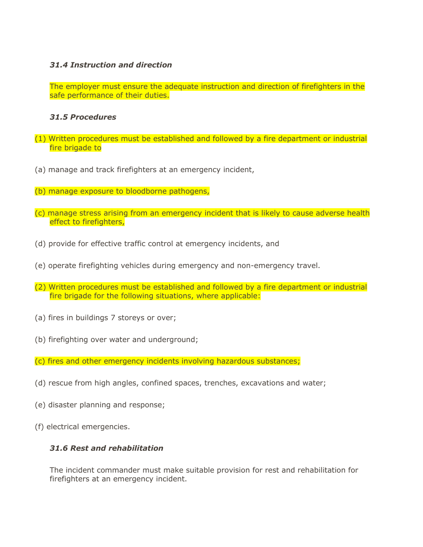## *31.4 Instruction and direction*

The employer must ensure the adequate instruction and direction of firefighters in the safe performance of their duties.

#### *31.5 Procedures*

- (1) Written procedures must be established and followed by a fire department or industrial fire brigade to
- (a) manage and track firefighters at an emergency incident,
- (b) manage exposure to bloodborne pathogens,
- (c) manage stress arising from an emergency incident that is likely to cause adverse health effect to firefighters,
- (d) provide for effective traffic control at emergency incidents, and
- (e) operate firefighting vehicles during emergency and non-emergency travel.
- (2) Written procedures must be established and followed by a fire department or industrial fire brigade for the following situations, where applicable:
- (a) fires in buildings 7 storeys or over;
- (b) firefighting over water and underground;
- (c) fires and other emergency incidents involving hazardous substances;
- (d) rescue from high angles, confined spaces, trenches, excavations and water;
- (e) disaster planning and response;
- (f) electrical emergencies.

## *31.6 Rest and rehabilitation*

The incident commander must make suitable provision for rest and rehabilitation for firefighters at an emergency incident.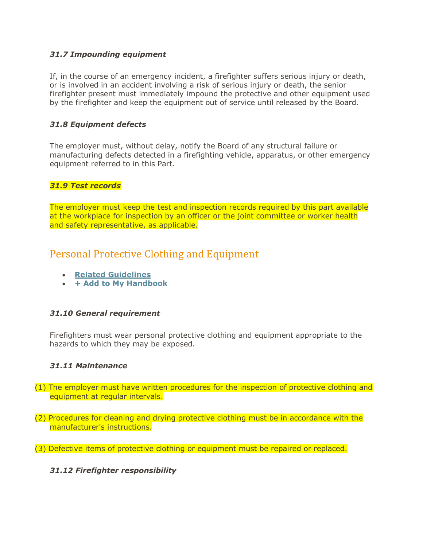### *31.7 Impounding equipment*

If, in the course of an emergency incident, a firefighter suffers serious injury or death, or is involved in an accident involving a risk of serious injury or death, the senior firefighter present must immediately impound the protective and other equipment used by the firefighter and keep the equipment out of service until released by the Board.

## *31.8 Equipment defects*

The employer must, without delay, notify the Board of any structural failure or manufacturing defects detected in a firefighting vehicle, apparatus, or other emergency equipment referred to in this Part.

#### *31.9 Test records*

The employer must keep the test and inspection records required by this part available at the workplace for inspection by an officer or the joint committee or worker health and safety representative, as applicable.

# Personal Protective Clothing and Equipment

- **[Related Guidelines](https://www.worksafebc.com/en/law-policy/occupational-health-safety/searchable-ohs-regulation/ohs-guidelines/guidelines-part-31#84EFF86274EB49E6B83266F3438C0F8E)**
- **[+ Add to My Handbook](https://www.worksafebc.com/en/law-policy/occupational-health-safety/searchable-ohs-regulation/ohs-regulation/part-31-firefighting)**

#### *31.10 General requirement*

Firefighters must wear personal protective clothing and equipment appropriate to the hazards to which they may be exposed.

#### *31.11 Maintenance*

- (1) The employer must have written procedures for the inspection of protective clothing and equipment at regular intervals.
- (2) Procedures for cleaning and drying protective clothing must be in accordance with the manufacturer's instructions.
- (3) Defective items of protective clothing or equipment must be repaired or replaced.

## *31.12 Firefighter responsibility*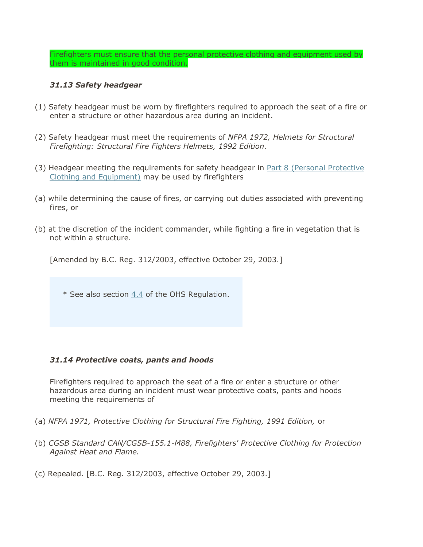Firefighters must ensure that the personal protective clothing and equipment used by them is maintained in good condition.

## *31.13 Safety headgear*

- (1) Safety headgear must be worn by firefighters required to approach the seat of a fire or enter a structure or other hazardous area during an incident.
- (2) Safety headgear must meet the requirements of *NFPA 1972, Helmets for Structural Firefighting: Structural Fire Fighters Helmets, 1992 Edition*.
- (3) Headgear meeting the requirements for safety headgear in [Part 8 \(Personal Protective](https://www.worksafebc.com/en/law-policy/occupational-health-safety/searchable-ohs-regulation/ohs-regulation/part-08-personal-protective-clothing-and-equipment#15580F3C13F747E3B2D04FC3F4F8DBBE)  [Clothing and Equipment\)](https://www.worksafebc.com/en/law-policy/occupational-health-safety/searchable-ohs-regulation/ohs-regulation/part-08-personal-protective-clothing-and-equipment#15580F3C13F747E3B2D04FC3F4F8DBBE) may be used by firefighters
- (a) while determining the cause of fires, or carrying out duties associated with preventing fires, or
- (b) at the discretion of the incident commander, while fighting a fire in vegetation that is not within a structure.

[Amended by B.C. Reg. 312/2003, effective October 29, 2003.]

\* See also section [4.4](https://www.worksafebc.com/en/law-policy/occupational-health-safety/searchable-ohs-regulation/ohs-regulation/part-04-general-conditions#SectionNumber:4.4) of the OHS Regulation.

#### *31.14 Protective coats, pants and hoods*

Firefighters required to approach the seat of a fire or enter a structure or other hazardous area during an incident must wear protective coats, pants and hoods meeting the requirements of

- (a) *NFPA 1971, Protective Clothing for Structural Fire Fighting, 1991 Edition,* or
- (b) *CGSB Standard CAN/CGSB-155.1-M88, Firefighters' Protective Clothing for Protection Against Heat and Flame.*
- (c) Repealed. [B.C. Reg. 312/2003, effective October 29, 2003.]